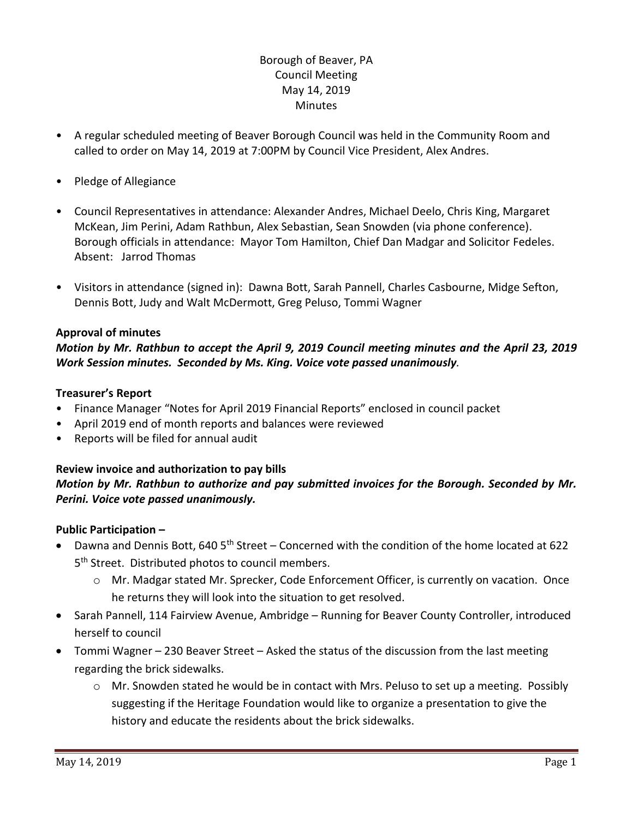## Borough of Beaver, PA Council Meeting May 14, 2019 Minutes

- A regular scheduled meeting of Beaver Borough Council was held in the Community Room and called to order on May 14, 2019 at 7:00PM by Council Vice President, Alex Andres.
- Pledge of Allegiance
- Council Representatives in attendance: Alexander Andres, Michael Deelo, Chris King, Margaret McKean, Jim Perini, Adam Rathbun, Alex Sebastian, Sean Snowden (via phone conference). Borough officials in attendance: Mayor Tom Hamilton, Chief Dan Madgar and Solicitor Fedeles. Absent: Jarrod Thomas
- Visitors in attendance (signed in): Dawna Bott, Sarah Pannell, Charles Casbourne, Midge Sefton, Dennis Bott, Judy and Walt McDermott, Greg Peluso, Tommi Wagner

## **Approval of minutes**

*Motion by Mr. Rathbun to accept the April 9, 2019 Council meeting minutes and the April 23, 2019 Work Session minutes. Seconded by Ms. King. Voice vote passed unanimously.* 

## **Treasurer's Report**

- Finance Manager "Notes for April 2019 Financial Reports" enclosed in council packet
- April 2019 end of month reports and balances were reviewed
- Reports will be filed for annual audit

## **Review invoice and authorization to pay bills**

## *Motion by Mr. Rathbun to authorize and pay submitted invoices for the Borough. Seconded by Mr. Perini. Voice vote passed unanimously.*

## **Public Participation –**

- Dawna and Dennis Bott, 640  $5<sup>th</sup>$  Street Concerned with the condition of the home located at 622 5<sup>th</sup> Street. Distributed photos to council members.
	- o Mr. Madgar stated Mr. Sprecker, Code Enforcement Officer, is currently on vacation. Once he returns they will look into the situation to get resolved.
- Sarah Pannell, 114 Fairview Avenue, Ambridge Running for Beaver County Controller, introduced herself to council
- Tommi Wagner 230 Beaver Street Asked the status of the discussion from the last meeting regarding the brick sidewalks.
	- o Mr. Snowden stated he would be in contact with Mrs. Peluso to set up a meeting. Possibly suggesting if the Heritage Foundation would like to organize a presentation to give the history and educate the residents about the brick sidewalks.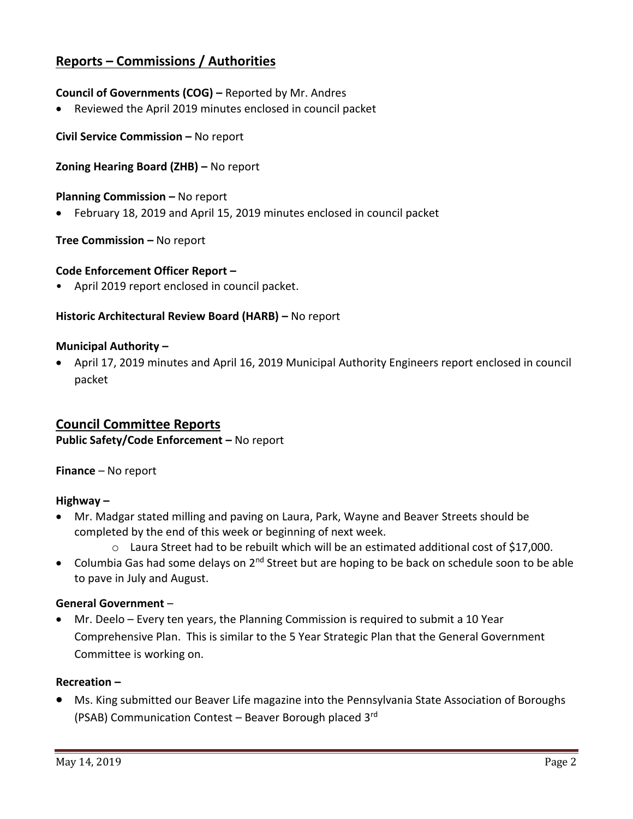# **Reports – Commissions / Authorities**

## **Council of Governments (COG) –** Reported by Mr. Andres

Reviewed the April 2019 minutes enclosed in council packet

**Civil Service Commission –** No report

### **Zoning Hearing Board (ZHB) –** No report

#### **Planning Commission –** No report

February 18, 2019 and April 15, 2019 minutes enclosed in council packet

#### **Tree Commission –** No report

#### **Code Enforcement Officer Report –**

• April 2019 report enclosed in council packet.

## **Historic Architectural Review Board (HARB) –** No report

#### **Municipal Authority –**

 April 17, 2019 minutes and April 16, 2019 Municipal Authority Engineers report enclosed in council packet

## **Council Committee Reports**

**Public Safety/Code Enforcement –** No report

**Finance** – No report

#### **Highway –**

- Mr. Madgar stated milling and paving on Laura, Park, Wayne and Beaver Streets should be completed by the end of this week or beginning of next week.
	- $\circ$  Laura Street had to be rebuilt which will be an estimated additional cost of \$17,000.
- Columbia Gas had some delays on 2<sup>nd</sup> Street but are hoping to be back on schedule soon to be able to pave in July and August.

#### **General Government** –

 Mr. Deelo – Every ten years, the Planning Commission is required to submit a 10 Year Comprehensive Plan. This is similar to the 5 Year Strategic Plan that the General Government Committee is working on.

#### **Recreation –**

 Ms. King submitted our Beaver Life magazine into the Pennsylvania State Association of Boroughs (PSAB) Communication Contest – Beaver Borough placed 3rd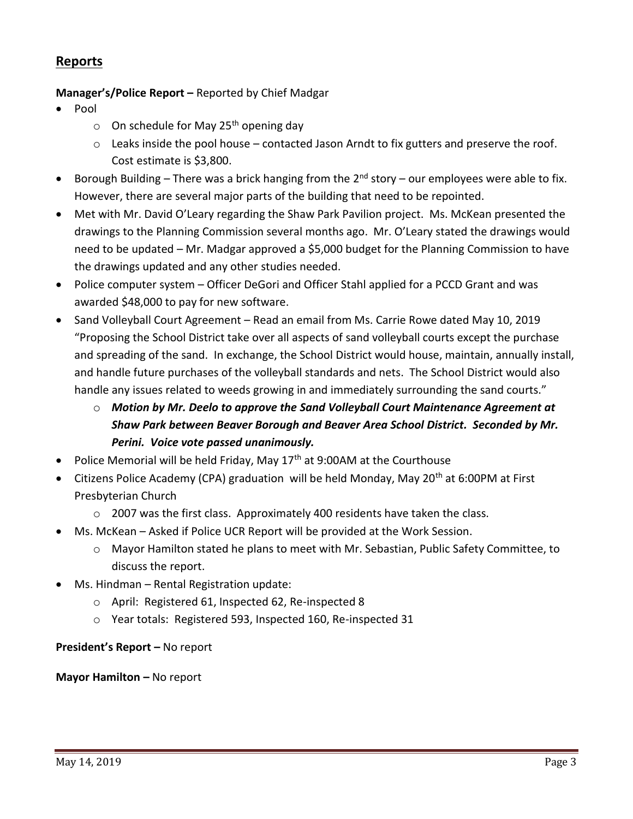# **Reports**

## **Manager's/Police Report –** Reported by Chief Madgar

- Pool
	- $\circ$  On schedule for May 25<sup>th</sup> opening day
	- $\circ$  Leaks inside the pool house contacted Jason Arndt to fix gutters and preserve the roof. Cost estimate is \$3,800.
- **•** Borough Building There was a brick hanging from the  $2^{nd}$  story our employees were able to fix. However, there are several major parts of the building that need to be repointed.
- Met with Mr. David O'Leary regarding the Shaw Park Pavilion project. Ms. McKean presented the drawings to the Planning Commission several months ago. Mr. O'Leary stated the drawings would need to be updated – Mr. Madgar approved a \$5,000 budget for the Planning Commission to have the drawings updated and any other studies needed.
- Police computer system Officer DeGori and Officer Stahl applied for a PCCD Grant and was awarded \$48,000 to pay for new software.
- Sand Volleyball Court Agreement Read an email from Ms. Carrie Rowe dated May 10, 2019 "Proposing the School District take over all aspects of sand volleyball courts except the purchase and spreading of the sand. In exchange, the School District would house, maintain, annually install, and handle future purchases of the volleyball standards and nets. The School District would also handle any issues related to weeds growing in and immediately surrounding the sand courts."
	- o *Motion by Mr. Deelo to approve the Sand Volleyball Court Maintenance Agreement at Shaw Park between Beaver Borough and Beaver Area School District. Seconded by Mr. Perini. Voice vote passed unanimously.*
- Police Memorial will be held Friday, May  $17<sup>th</sup>$  at 9:00AM at the Courthouse
- Citizens Police Academy (CPA) graduation will be held Monday, May 20<sup>th</sup> at 6:00PM at First Presbyterian Church
	- o 2007 was the first class. Approximately 400 residents have taken the class.
- Ms. McKean Asked if Police UCR Report will be provided at the Work Session.
	- o Mayor Hamilton stated he plans to meet with Mr. Sebastian, Public Safety Committee, to discuss the report.
- Ms. Hindman Rental Registration update:
	- o April: Registered 61, Inspected 62, Re-inspected 8
	- o Year totals: Registered 593, Inspected 160, Re-inspected 31

## **President's Report –** No report

**Mayor Hamilton – No report**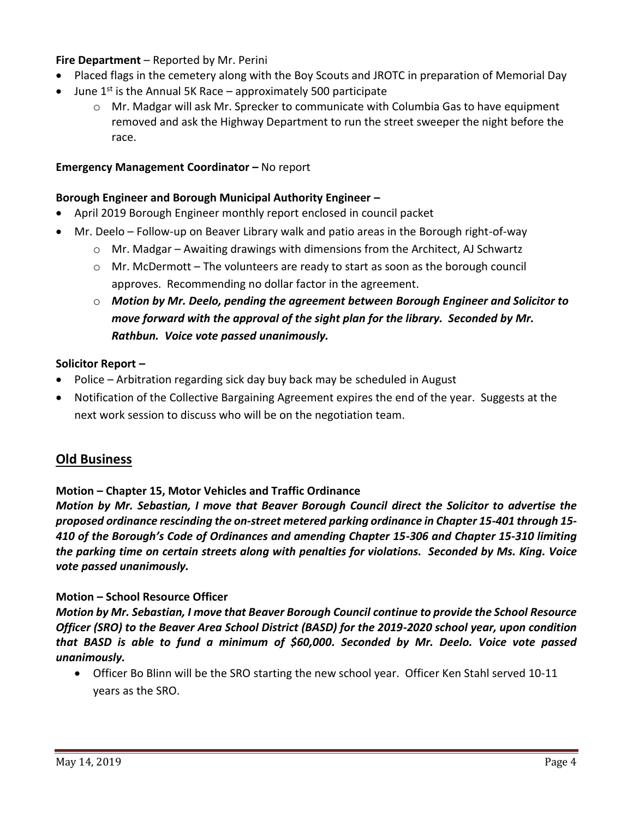## **Fire Department** – Reported by Mr. Perini

- Placed flags in the cemetery along with the Boy Scouts and JROTC in preparation of Memorial Day
- June  $1^{st}$  is the Annual 5K Race approximately 500 participate
	- o Mr. Madgar will ask Mr. Sprecker to communicate with Columbia Gas to have equipment removed and ask the Highway Department to run the street sweeper the night before the race.

## **Emergency Management Coordinator - No report**

## **Borough Engineer and Borough Municipal Authority Engineer –**

- April 2019 Borough Engineer monthly report enclosed in council packet
- Mr. Deelo Follow-up on Beaver Library walk and patio areas in the Borough right-of-way
	- $\circ$  Mr. Madgar Awaiting drawings with dimensions from the Architect, AJ Schwartz
	- $\circ$  Mr. McDermott The volunteers are ready to start as soon as the borough council approves. Recommending no dollar factor in the agreement.
	- o *Motion by Mr. Deelo, pending the agreement between Borough Engineer and Solicitor to move forward with the approval of the sight plan for the library. Seconded by Mr. Rathbun. Voice vote passed unanimously.*

## **Solicitor Report –**

- Police Arbitration regarding sick day buy back may be scheduled in August
- Notification of the Collective Bargaining Agreement expires the end of the year. Suggests at the next work session to discuss who will be on the negotiation team.

## **Old Business**

## **Motion – Chapter 15, Motor Vehicles and Traffic Ordinance**

*Motion by Mr. Sebastian, I move that Beaver Borough Council direct the Solicitor to advertise the proposed ordinance rescinding the on-street metered parking ordinance in Chapter 15-401 through 15- 410 of the Borough's Code of Ordinances and amending Chapter 15-306 and Chapter 15-310 limiting the parking time on certain streets along with penalties for violations. Seconded by Ms. King. Voice vote passed unanimously.* 

## **Motion – School Resource Officer**

*Motion by Mr. Sebastian, I move that Beaver Borough Council continue to provide the School Resource Officer (SRO) to the Beaver Area School District (BASD) for the 2019-2020 school year, upon condition that BASD is able to fund a minimum of \$60,000. Seconded by Mr. Deelo. Voice vote passed unanimously.* 

 Officer Bo Blinn will be the SRO starting the new school year. Officer Ken Stahl served 10-11 years as the SRO.